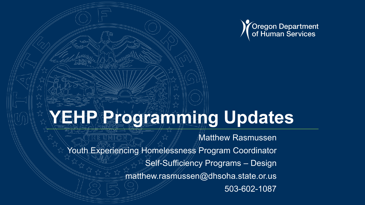

# YEHP Rate Comming Updates

Matthew Rasmussen Youth Experiencing Homelessness Program Coordinator Self-Sufficiency Programs – Design matthew.rasmussen@dhsoha.state.or.us 503-602-1087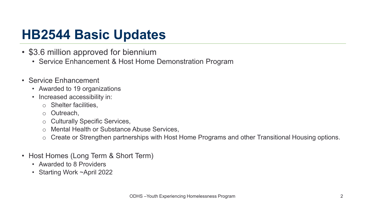## **HB2544 Basic Updates**

- \$3.6 million approved for biennium
	- Service Enhancement & Host Home Demonstration Program
- Service Enhancement
	- Awarded to 19 organizations
	- Increased accessibility in:
		- o Shelter facilities,
		- o Outreach,
		- o Culturally Specific Services,
		- **Mental Health or Substance Abuse Services,**
		- o Create or Strengthen partnerships with Host Home Programs and other Transitional Housing options.
- Host Homes (Long Term & Short Term)
	- Awarded to 8 Providers
	- Starting Work ~April 2022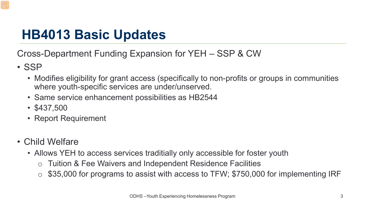## **HB4013 Basic Updates**

Cross-Department Funding Expansion for YEH – SSP & CW

- SSP
	- Modifies eligibility for grant access (specifically to non-profits or groups in communities where youth-specific services are under/unserved.
	- Same service enhancement possibilities as HB2544
	- \$437,500
	- Report Requirement
- Child Welfare
	- Allows YEH to access services traditially only accessible for foster youth
		- o Tuition & Fee Waivers and Independent Residence Facilities
		- $\circ$  \$35,000 for programs to assist with access to TFW; \$750,000 for implementing IRF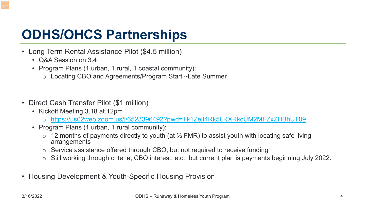## **ODHS/OHCS Partnerships**

- Long Term Rental Assistance Pilot (\$4.5 million)
	- Q&A Session on 3.4
	- Program Plans (1 urban, 1 rural, 1 coastal community):
		- o Locating CBO and Agreements/Program Start ~Late Summer
- Direct Cash Transfer Pilot (\$1 million)
	- Kickoff Meeting 3.18 at 12pm
		- o <https://us02web.zoom.us/j/6523396492?pwd=Tk1ZejI4Rk5LRXRkcUM2MFZxZHBhUT09>
	- Program Plans (1 urban, 1 rural community):
		- $\circ$  12 months of payments directly to youth (at  $\frac{1}{2}$  FMR) to assist youth with locating safe living arrangements
		- o Service assistance offered through CBO, but not required to receive funding
		- o Still working through criteria, CBO interest, etc., but current plan is payments beginning July 2022.
- Housing Development & Youth-Specific Housing Provision